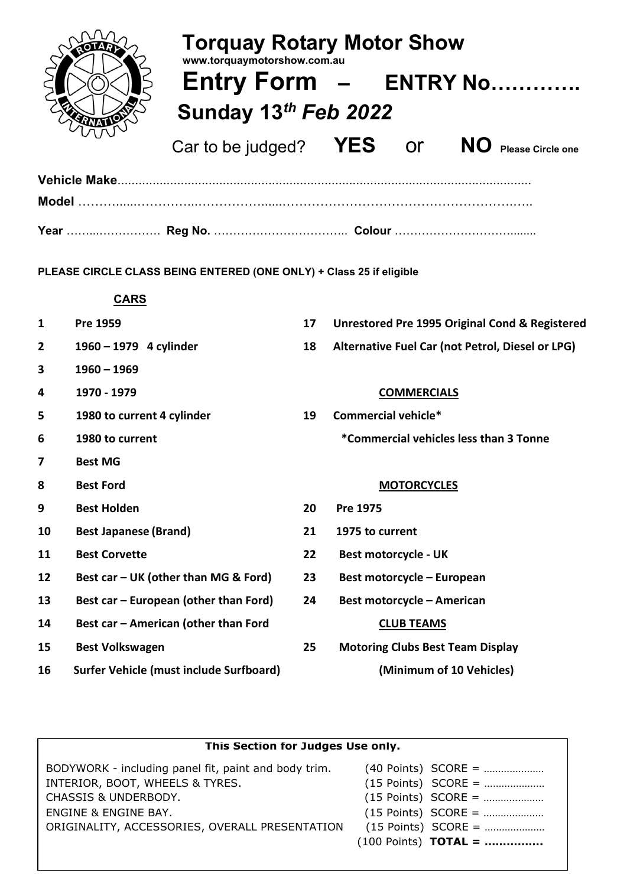

| <b>Torquay Rotary Motor Show</b><br>www.torquaymotorshow.com.au |  |           |                                  |  |  |
|-----------------------------------------------------------------|--|-----------|----------------------------------|--|--|
| Entry Form - ENTRY No                                           |  |           |                                  |  |  |
| Sunday 13th Feb 2022                                            |  |           |                                  |  |  |
| Car to be judged? $YES$                                         |  | <u>or</u> | NO I<br><b>Please Circle one</b> |  |  |

**PLEASE CIRCLE CLASS BEING ENTERED (ONE ONLY) + Class 25 if eligible**

### **CARS**

| 1            | Pre 1959                                       | 17 | Unrestored Pre 1995 Original Cond & Registered   |
|--------------|------------------------------------------------|----|--------------------------------------------------|
| $\mathbf{2}$ | 1960 - 1979 4 cylinder                         | 18 | Alternative Fuel Car (not Petrol, Diesel or LPG) |
| 3            | $1960 - 1969$                                  |    |                                                  |
| 4            | 1970 - 1979                                    |    | <b>COMMERCIALS</b>                               |
| 5            | 1980 to current 4 cylinder                     | 19 | Commercial vehicle*                              |
| 6            | 1980 to current                                |    | *Commercial vehicles less than 3 Tonne           |
| 7            | <b>Best MG</b>                                 |    |                                                  |
| 8            | <b>Best Ford</b>                               |    | <b>MOTORCYCLES</b>                               |
| 9            | <b>Best Holden</b>                             | 20 | Pre 1975                                         |
| 10           | <b>Best Japanese (Brand)</b>                   | 21 | 1975 to current                                  |
| 11           | <b>Best Corvette</b>                           | 22 | <b>Best motorcycle - UK</b>                      |
| 12           | Best car - UK (other than MG & Ford)           | 23 | Best motorcycle - European                       |
| 13           | Best car - European (other than Ford)          | 24 | <b>Best motorcycle - American</b>                |
| 14           | Best car - American (other than Ford           |    | <b>CLUB TEAMS</b>                                |
| 15           | <b>Best Volkswagen</b>                         | 25 | <b>Motoring Clubs Best Team Display</b>          |
| 16           | <b>Surfer Vehicle (must include Surfboard)</b> |    | (Minimum of 10 Vehicles)                         |

| This Section for Judges Use only.                    |                               |  |  |  |  |  |
|------------------------------------------------------|-------------------------------|--|--|--|--|--|
|                                                      |                               |  |  |  |  |  |
| BODYWORK - including panel fit, paint and body trim. | $(40$ Points) SCORE =         |  |  |  |  |  |
| INTERIOR, BOOT, WHEELS & TYRES.                      | $(15$ Points) SCORE =         |  |  |  |  |  |
| CHASSIS & UNDERBODY.                                 | $(15$ Points) SCORE =         |  |  |  |  |  |
| ENGINE & ENGINE BAY.                                 | $(15$ Points) SCORE =         |  |  |  |  |  |
| ORIGINALITY, ACCESSORIES, OVERALL PRESENTATION       | $(15$ Points) SCORE =         |  |  |  |  |  |
|                                                      | $(100$ Points) <b>TOTAL</b> = |  |  |  |  |  |
|                                                      |                               |  |  |  |  |  |